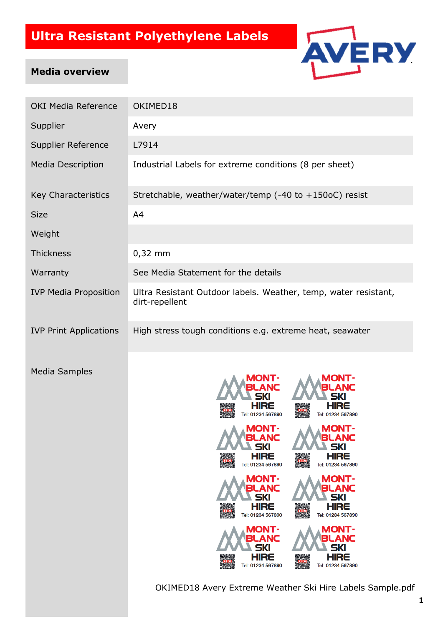

#### **Media overview**

| <b>OKI Media Reference</b>    | OKIMED18                                                                                                                                                                                                                                                                                                                                                                                                                                                                                                                                                  |  |  |
|-------------------------------|-----------------------------------------------------------------------------------------------------------------------------------------------------------------------------------------------------------------------------------------------------------------------------------------------------------------------------------------------------------------------------------------------------------------------------------------------------------------------------------------------------------------------------------------------------------|--|--|
| Supplier                      | Avery                                                                                                                                                                                                                                                                                                                                                                                                                                                                                                                                                     |  |  |
| Supplier Reference            | L7914                                                                                                                                                                                                                                                                                                                                                                                                                                                                                                                                                     |  |  |
| <b>Media Description</b>      | Industrial Labels for extreme conditions (8 per sheet)                                                                                                                                                                                                                                                                                                                                                                                                                                                                                                    |  |  |
| Key Characteristics           | Stretchable, weather/water/temp (-40 to +150oC) resist                                                                                                                                                                                                                                                                                                                                                                                                                                                                                                    |  |  |
| <b>Size</b>                   | A4                                                                                                                                                                                                                                                                                                                                                                                                                                                                                                                                                        |  |  |
| Weight                        |                                                                                                                                                                                                                                                                                                                                                                                                                                                                                                                                                           |  |  |
| <b>Thickness</b>              | $0,32$ mm                                                                                                                                                                                                                                                                                                                                                                                                                                                                                                                                                 |  |  |
| Warranty                      | See Media Statement for the details                                                                                                                                                                                                                                                                                                                                                                                                                                                                                                                       |  |  |
| <b>IVP Media Proposition</b>  | Ultra Resistant Outdoor labels. Weather, temp, water resistant,<br>dirt-repellent                                                                                                                                                                                                                                                                                                                                                                                                                                                                         |  |  |
| <b>IVP Print Applications</b> | High stress tough conditions e.g. extreme heat, seawater                                                                                                                                                                                                                                                                                                                                                                                                                                                                                                  |  |  |
| <b>Media Samples</b>          | <b>MONT-</b><br>ANC<br>HIRE<br>HIRE<br>Tel: 01234 567890<br>Tel: 01234 567890<br><b>MONT-</b><br><b>A A MONT-</b><br>BLANC<br>BLANC<br>SKI<br><b>SKI</b><br><b>HIRE</b><br><b>HIRE</b><br>Tel: 01234 567890<br>Tel: 01234 567890<br><b>MONT-</b><br><b>MONT-</b><br>ANC<br>SKI<br>5KI<br><b>HIRE</b><br>HIRE<br>Tel: 01234 567890<br>Tel: 01234 567890<br><b>MONT-</b><br><b>MONT-</b><br>BLANC<br>ANC<br><b>SKI</b><br>5KI<br><b>HIRE</b><br>HIRE<br>Tel: 01234 567890<br>Tel: 01234 567890<br>OKIMED18 Avery Extreme Weather Ski Hire Labels Sample.pdf |  |  |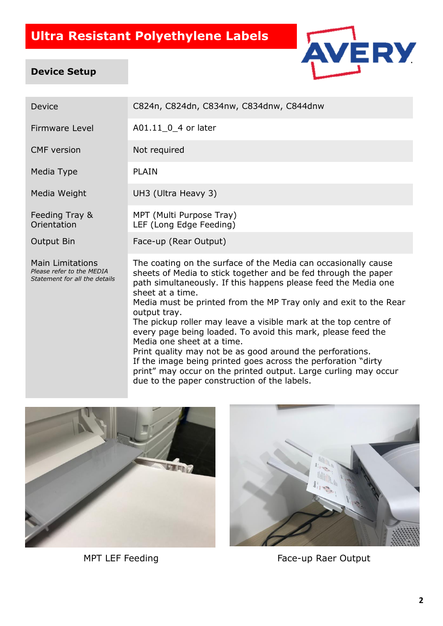

#### **Device Setup**

| Device                                                                         | C824n, C824dn, C834nw, C834dnw, C844dnw                                                                                                                                                                                                                                                    |  |
|--------------------------------------------------------------------------------|--------------------------------------------------------------------------------------------------------------------------------------------------------------------------------------------------------------------------------------------------------------------------------------------|--|
| <b>Firmware Level</b>                                                          | A01.11 0 4 or later                                                                                                                                                                                                                                                                        |  |
| <b>CMF</b> version                                                             | Not required                                                                                                                                                                                                                                                                               |  |
| Media Type                                                                     | <b>PLAIN</b>                                                                                                                                                                                                                                                                               |  |
| Media Weight                                                                   | UH3 (Ultra Heavy 3)                                                                                                                                                                                                                                                                        |  |
| Feeding Tray &<br>Orientation                                                  | MPT (Multi Purpose Tray)<br>LEF (Long Edge Feeding)                                                                                                                                                                                                                                        |  |
| <b>Output Bin</b>                                                              | Face-up (Rear Output)                                                                                                                                                                                                                                                                      |  |
| Main Limitations<br>Please refer to the MEDIA<br>Statement for all the details | The coating on the surface of the Media can occasionally cause<br>sheets of Media to stick together and be fed through the paper<br>path simultaneously. If this happens please feed the Media one<br>sheet at a time.<br>Media must be printed from the MP Tray only and exit to the Rear |  |

output tray. The pickup roller may leave a visible mark at the top centre of every page being loaded. To avoid this mark, please feed the Media one sheet at a time.

Print quality may not be as good around the perforations. If the image being printed goes across the perforation "dirty" print" may occur on the printed output. Large curling may occur due to the paper construction of the labels.





MPT LEF Feeding Face-up Raer Output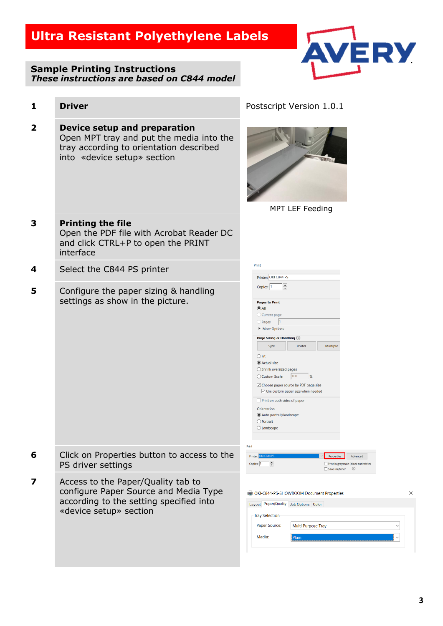**1 Driver 1 Driver Postscript Version 1.0.1** 

#### **Sample Printing Instructions** *These instructions are based on C844 model*



| $\overline{\mathbf{2}}$ | Device setup and preparation<br>Open MPT tray and put the media into the<br>tray according to orientation described<br>into «device setup» section |                                                                                                                                                                                                                                                                                                                                                                                                                                                                                       |
|-------------------------|----------------------------------------------------------------------------------------------------------------------------------------------------|---------------------------------------------------------------------------------------------------------------------------------------------------------------------------------------------------------------------------------------------------------------------------------------------------------------------------------------------------------------------------------------------------------------------------------------------------------------------------------------|
|                         |                                                                                                                                                    | MPT LEF Feeding                                                                                                                                                                                                                                                                                                                                                                                                                                                                       |
| 3                       | <b>Printing the file</b><br>Open the PDF file with Acrobat Reader DC<br>and click CTRL+P to open the PRINT<br>interface                            |                                                                                                                                                                                                                                                                                                                                                                                                                                                                                       |
| 4                       | Select the C844 PS printer                                                                                                                         | Print<br>Printer: OKI C844 PS                                                                                                                                                                                                                                                                                                                                                                                                                                                         |
| 5                       | Configure the paper sizing & handling<br>settings as show in the picture.                                                                          | $\left  \div \right $<br>Copies: 1<br><b>Pages to Print</b><br>$\odot$ All<br>Current page<br>O Pages<br>More Options<br>Page Sizing & Handling 1<br>Size<br>Poster<br>Multiple<br>$\bigcirc$ Fit<br>Actual size<br>$\bigcirc$ Shrink oversized pages<br> 100<br>○ Custom Scale:<br>Choose paper source by PDF page size<br>$\vee$ Use custom paper size when needed<br>Print on both sides of paper<br>Orientation:<br>Auto portrait/landscape<br>O Portrait<br>$\bigcirc$ Landscape |
|                         | Click on Properties button to access to the<br>PS driver settings                                                                                  | Print<br>Printer<br><b>Properties</b> Advanced<br>$\div$<br>Copies: 1<br>Print in grayscale (black and white)<br>Save ink/toner ①                                                                                                                                                                                                                                                                                                                                                     |
| 7                       | Access to the Paper/Quality tab to<br>configure Paper Source and Media Type<br>according to the setting specified into<br>«device setup» section   | DKI-C844-PS-SHOWROOM Document Properties<br>X<br>Layout Paper/Quality Job Options Color<br><b>Tray Selection</b><br>Paper Source:<br>Multi Purpose Tray<br>Media:<br>Plain                                                                                                                                                                                                                                                                                                            |